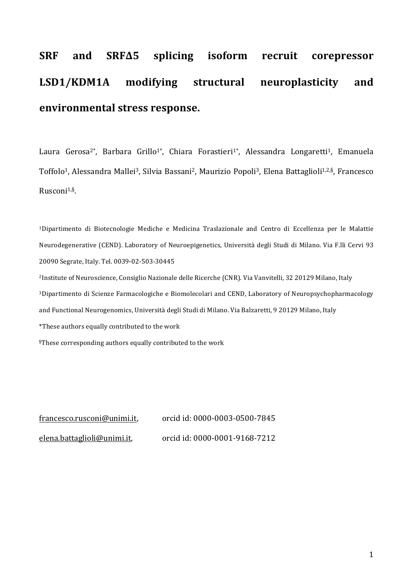# SRF and SRF $\Delta$ 5 splicing isoform recruit corepressor LSD1/KDM1A modifying structural neuroplasticity and **environmental stress response.**

Laura Gerosa<sup>2\*</sup>, Barbara Grillo<sup>1\*</sup>, Chiara Forastieri<sup>1\*</sup>, Alessandra Longaretti<sup>1</sup>, Emanuela Toffolo<sup>1</sup>, Alessandra Mallei<sup>3</sup>, Silvia Bassani<sup>2</sup>, Maurizio Popoli<sup>3</sup>, Elena Battaglioli<sup>1,2,§</sup>, Francesco Rusconi1,§.

<sup>1</sup>Dipartimento di Biotecnologie Mediche e Medicina Traslazionale and Centro di Eccellenza per le Malattie Neurodegenerative (CEND). Laboratory of Neuroepigenetics, Università degli Studi di Milano. Via F.lli Cervi 93 20090 Segrate, Italy. Tel. 0039-02-503-30445 <sup>2</sup>Institute of Neuroscience, Consiglio Nazionale delle Ricerche (CNR). Via Vanvitelli, 32 20129 Milano, Italy <sup>3</sup>Dipartimento di Scienze Farmacologiche e Biomolecolari and CEND, Laboratory of Neuropsychopharmacology and Functional Neurogenomics, Università degli Studi di Milano. Via Balzaretti, 9 20129 Milano, Italy \*These authors equally contributed to the work §These corresponding authors equally contributed to the work

francesco.rusconi@unimi.it, orcid id: 0000-0003-0500-7845 elena.battaglioli@unimi.it, orcid id: 0000-0001-9168-7212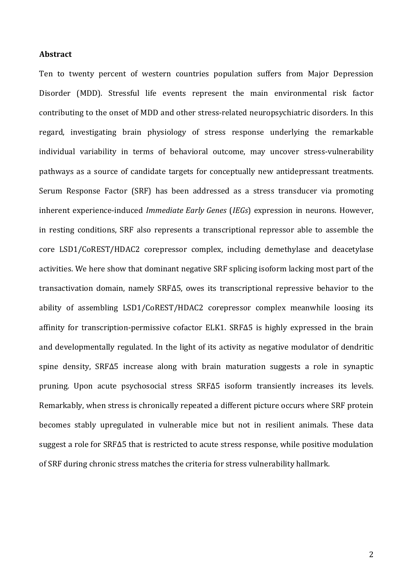#### **Abstract**

Ten to twenty percent of western countries population suffers from Major Depression Disorder (MDD). Stressful life events represent the main environmental risk factor contributing to the onset of MDD and other stress-related neuropsychiatric disorders. In this regard, investigating brain physiology of stress response underlying the remarkable individual variability in terms of behavioral outcome, may uncover stress-vulnerability pathways as a source of candidate targets for conceptually new antidepressant treatments. Serum Response Factor (SRF) has been addressed as a stress transducer via promoting inherent experience-induced *Immediate Early Genes* (*IEGs*) expression in neurons. However, in resting conditions, SRF also represents a transcriptional repressor able to assemble the core LSD1/CoREST/HDAC2 corepressor complex, including demethylase and deacetylase activities. We here show that dominant negative SRF splicing isoform lacking most part of the transactivation domain, namely SRFΔ5, owes its transcriptional repressive behavior to the ability of assembling LSD1/CoREST/HDAC2 corepressor complex meanwhile loosing its affinity for transcription-permissive cofactor ELK1. SRFΔ5 is highly expressed in the brain and developmentally regulated. In the light of its activity as negative modulator of dendritic spine density, SRFΔ5 increase along with brain maturation suggests a role in synaptic pruning. Upon acute psychosocial stress SRF $\Delta$ 5 isoform transiently increases its levels. Remarkably, when stress is chronically repeated a different picture occurs where SRF protein becomes stably upregulated in vulnerable mice but not in resilient animals. These data suggest a role for SRFΔ5 that is restricted to acute stress response, while positive modulation of SRF during chronic stress matches the criteria for stress vulnerability hallmark.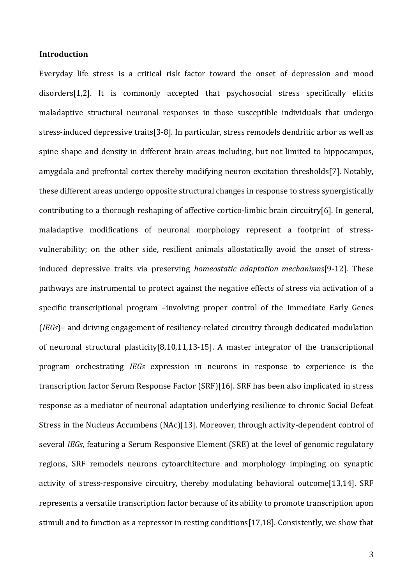# **Introduction**

Everyday life stress is a critical risk factor toward the onset of depression and mood disorders[1,2]. It is commonly accepted that psychosocial stress specifically elicits maladaptive structural neuronal responses in those susceptible individuals that undergo stress-induced depressive traits[3-8]. In particular, stress remodels dendritic arbor as well as spine shape and density in different brain areas including, but not limited to hippocampus, amygdala and prefrontal cortex thereby modifying neuron excitation thresholds[7]. Notably, these different areas undergo opposite structural changes in response to stress synergistically contributing to a thorough reshaping of affective cortico-limbic brain circuitry[6]. In general, maladaptive modifications of neuronal morphology represent a footprint of stressvulnerability; on the other side, resilient animals allostatically avoid the onset of stressinduced depressive traits via preserving *homeostatic adaptation mechanisms*[9-12]. These pathways are instrumental to protect against the negative effects of stress via activation of a specific transcriptional program -involving proper control of the Immediate Early Genes *(IEGs)*– and driving engagement of resiliency-related circuitry through dedicated modulation of neuronal structural plasticity[8,10,11,13-15]. A master integrator of the transcriptional program orchestrating *IEGs* expression in neurons in response to experience is the transcription factor Serum Response Factor (SRF)[16]. SRF has been also implicated in stress response as a mediator of neuronal adaptation underlying resilience to chronic Social Defeat Stress in the Nucleus Accumbens (NAc)[13]. Moreover, through activity-dependent control of several *IEGs*, featuring a Serum Responsive Element *(SRE)* at the level of genomic regulatory regions, SRF remodels neurons cytoarchitecture and morphology impinging on synaptic activity of stress-responsive circuitry, thereby modulating behavioral outcome[13,14]. SRF represents a versatile transcription factor because of its ability to promote transcription upon stimuli and to function as a repressor in resting conditions[17,18]. Consistently, we show that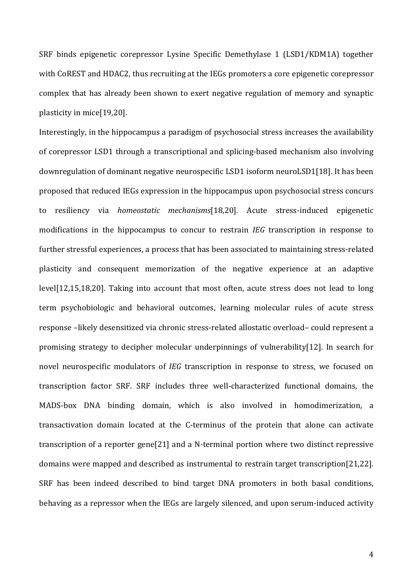SRF binds epigenetic corepressor Lysine Specific Demethylase 1 (LSD1/KDM1A) together with CoREST and HDAC2, thus recruiting at the IEGs promoters a core epigenetic corepressor complex that has already been shown to exert negative regulation of memory and synaptic plasticity in mice[19,20].

Interestingly, in the hippocampus a paradigm of psychosocial stress increases the availability of corepressor LSD1 through a transcriptional and splicing-based mechanism also involving downregulation of dominant negative neurospecific LSD1 isoform neuroLSD1[18]. It has been proposed that reduced IEGs expression in the hippocampus upon psychosocial stress concurs to resiliency via *homeostatic mechanisms*[18,20]. Acute stress-induced epigenetic modifications in the hippocampus to concur to restrain *IEG* transcription in response to further stressful experiences, a process that has been associated to maintaining stress-related plasticity and consequent memorization of the negative experience at an adaptive level[12,15,18,20]. Taking into account that most often, acute stress does not lead to long term psychobiologic and behavioral outcomes, learning molecular rules of acute stress response -likely desensitized via chronic stress-related allostatic overload- could represent a promising strategy to decipher molecular underpinnings of vulnerability[12]. In search for novel neurospecific modulators of *IEG* transcription in response to stress, we focused on transcription factor SRF. SRF includes three well-characterized functional domains, the MADS-box DNA binding domain, which is also involved in homodimerization, a transactivation domain located at the C-terminus of the protein that alone can activate transcription of a reporter gene[21] and a N-terminal portion where two distinct repressive domains were mapped and described as instrumental to restrain target transcription[21,22]. SRF has been indeed described to bind target DNA promoters in both basal conditions, behaving as a repressor when the IEGs are largely silenced, and upon serum-induced activity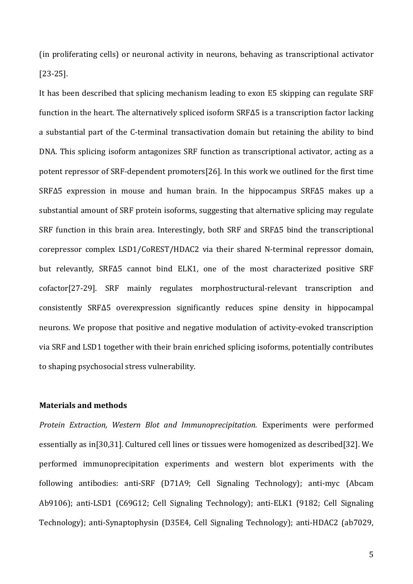(in proliferating cells) or neuronal activity in neurons, behaving as transcriptional activator [23-25].

It has been described that splicing mechanism leading to exon E5 skipping can regulate SRF function in the heart. The alternatively spliced isoform  $SRF\Delta5$  is a transcription factor lacking a substantial part of the C-terminal transactivation domain but retaining the ability to bind DNA. This splicing isoform antagonizes SRF function as transcriptional activator, acting as a potent repressor of SRF-dependent promoters[26]. In this work we outlined for the first time  $SRF\Delta5$  expression in mouse and human brain. In the hippocampus  $SRF\Delta5$  makes up a substantial amount of SRF protein isoforms, suggesting that alternative splicing may regulate SRF function in this brain area. Interestingly, both SRF and SRF $\Delta$ 5 bind the transcriptional corepressor complex LSD1/CoREST/HDAC2 via their shared N-terminal repressor domain, but relevantly, SRFΔ5 cannot bind ELK1, one of the most characterized positive SRF cofactor[27-29]. SRF mainly regulates morphostructural-relevant transcription and consistently SRF $\Delta$ 5 overexpression significantly reduces spine density in hippocampal neurons. We propose that positive and negative modulation of activity-evoked transcription via SRF and LSD1 together with their brain enriched splicing isoforms, potentially contributes to shaping psychosocial stress vulnerability.

# **Materials and methods**

*Protein Extraction, Western Blot and Immunoprecipitation.* Experiments were performed essentially as in[30,31]. Cultured cell lines or tissues were homogenized as described[32]. We performed immunoprecipitation experiments and western blot experiments with the following antibodies: anti-SRF (D71A9; Cell Signaling Technology); anti-myc (Abcam Ab9106); anti-LSD1 (C69G12; Cell Signaling Technology); anti-ELK1 (9182; Cell Signaling Technology); anti-Synaptophysin (D35E4, Cell Signaling Technology); anti-HDAC2 (ab7029,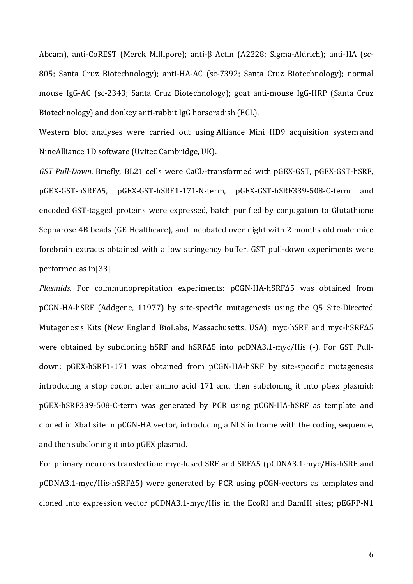Abcam), anti-CoREST (Merck Millipore); anti-β Actin (A2228; Sigma-Aldrich); anti-HA (sc-805; Santa Cruz Biotechnology); anti-HA-AC (sc-7392; Santa Cruz Biotechnology); normal mouse IgG-AC (sc-2343; Santa Cruz Biotechnology); goat anti-mouse IgG-HRP (Santa Cruz Biotechnology) and donkey anti-rabbit IgG horseradish (ECL).

Western blot analyses were carried out using Alliance Mini HD9 acquisition system and NineAlliance 1D software (Uvitec Cambridge, UK).

*GST Pull-Down.* Briefly, BL21 cells were CaCl<sub>2</sub>-transformed with pGEX-GST, pGEX-GST-hSRF, pGEX-GST-hSRF∆5, pGEX-GST-hSRF1-171-N-term, pGEX-GST-hSRF339-508-C-term and encoded GST-tagged proteins were expressed, batch purified by conjugation to Glutathione Sepharose 4B beads (GE Healthcare), and incubated over night with 2 months old male mice forebrain extracts obtained with a low stringency buffer. GST pull-down experiments were performed as  $in[33]$ 

*Plasmids.* For coimmunoprepitation experiments: pCGN-HA-hSRF∆5 was obtained from pCGN-HA-hSRF (Addgene, 11977) by site-specific mutagenesis using the Q5 Site-Directed Mutagenesis Kits (New England BioLabs, Massachusetts, USA); myc-hSRF and myc-hSRF∆5 were obtained by subcloning hSRF and hSRF∆5 into pcDNA3.1-myc/His (-). For GST Pulldown: pGEX-hSRF1-171 was obtained from pCGN-HA-hSRF by site-specific mutagenesis introducing a stop codon after amino acid 171 and then subcloning it into pGex plasmid; pGEX-hSRF339-508-C-term was generated by PCR using pCGN-HA-hSRF as template and cloned in XbaI site in pCGN-HA vector, introducing a NLS in frame with the coding sequence, and then subcloning it into pGEX plasmid.

For primary neurons transfection: myc-fused SRF and SRF∆5 (pCDNA3.1-myc/His-hSRF and pCDNA3.1-myc/His-hSRF∆5) were generated by PCR using pCGN-vectors as templates and cloned into expression vector pCDNA3.1-myc/His in the EcoRI and BamHI sites; pEGFP-N1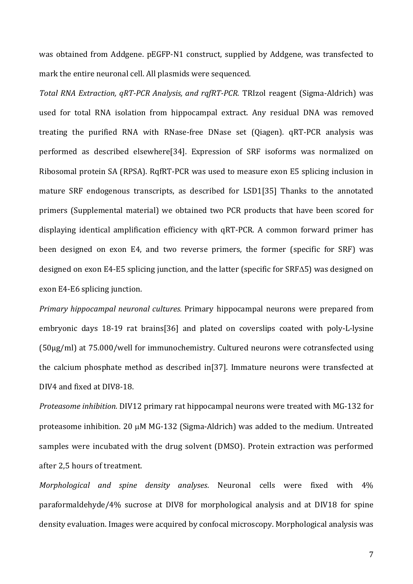was obtained from Addgene. pEGFP-N1 construct, supplied by Addgene, was transfected to mark the entire neuronal cell. All plasmids were sequenced.

*Total RNA Extraction, qRT-PCR Analysis, and rqfRT-PCR.* TRIzol reagent (Sigma-Aldrich) was used for total RNA isolation from hippocampal extract. Any residual DNA was removed treating the purified RNA with RNase-free DNase set (Qiagen). qRT-PCR analysis was performed as described elsewhere[34]. Expression of SRF isoforms was normalized on Ribosomal protein SA (RPSA). RqfRT-PCR was used to measure exon E5 splicing inclusion in mature SRF endogenous transcripts, as described for LSD1[35] Thanks to the annotated primers (Supplemental material) we obtained two PCR products that have been scored for displaying identical amplification efficiency with qRT-PCR. A common forward primer has been designed on exon E4, and two reverse primers, the former (specific for SRF) was designed on exon E4-E5 splicing junction, and the latter (specific for  $SRF\Delta5$ ) was designed on exon E4-E6 splicing junction.

*Primary hippocampal neuronal cultures.* Primary hippocampal neurons were prepared from embryonic days 18-19 rat brains[36] and plated on coverslips coated with poly-L-lysine  $(50\mu g/ml)$  at  $75.000/well$  for immunochemistry. Cultured neurons were cotransfected using the calcium phosphate method as described in[37]. Immature neurons were transfected at DIV4 and fixed at DIV8-18.

*Proteasome inhibition.* DIV12 primary rat hippocampal neurons were treated with MG-132 for proteasome inhibition. 20  $\mu$ M MG-132 (Sigma-Aldrich) was added to the medium. Untreated samples were incubated with the drug solvent (DMSO). Protein extraction was performed after 2,5 hours of treatment.

*Morphological* and spine density analyses. Neuronal cells were fixed with 4% paraformaldehyde/4% sucrose at DIV8 for morphological analysis and at DIV18 for spine density evaluation. Images were acquired by confocal microscopy. Morphological analysis was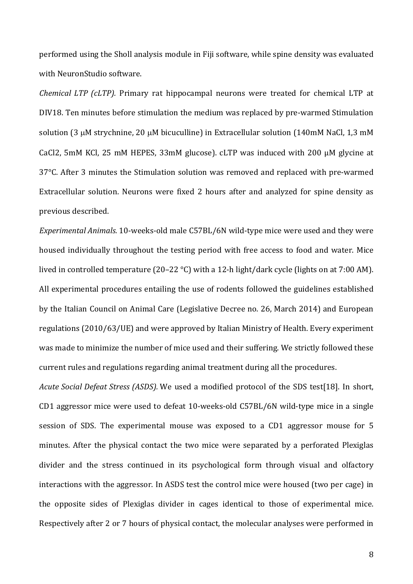performed using the Sholl analysis module in Fiji software, while spine density was evaluated with NeuronStudio software.

*Chemical LTP (cLTP).* Primary rat hippocampal neurons were treated for chemical LTP at DIV18. Ten minutes before stimulation the medium was replaced by pre-warmed Stimulation solution (3  $\mu$ M strychnine, 20  $\mu$ M bicuculline) in Extracellular solution (140mM NaCl, 1,3 mM CaCl2, 5mM KCl, 25 mM HEPES, 33mM glucose). cLTP was induced with 200  $\mu$ M glycine at 37°C. After 3 minutes the Stimulation solution was removed and replaced with pre-warmed Extracellular solution. Neurons were fixed 2 hours after and analyzed for spine density as previous described.

*Experimental Animals.* 10-weeks-old male C57BL/6N wild-type mice were used and they were housed individually throughout the testing period with free access to food and water. Mice lived in controlled temperature  $(20-22 \text{ °C})$  with a 12-h light/dark cycle (lights on at 7:00 AM). All experimental procedures entailing the use of rodents followed the guidelines established by the Italian Council on Animal Care (Legislative Decree no. 26, March 2014) and European regulations (2010/63/UE) and were approved by Italian Ministry of Health. Every experiment was made to minimize the number of mice used and their suffering. We strictly followed these current rules and regulations regarding animal treatment during all the procedures.

*Acute Social Defeat Stress (ASDS).* We used a modified protocol of the SDS test[18]. In short, CD1 aggressor mice were used to defeat 10-weeks-old C57BL/6N wild-type mice in a single session of SDS. The experimental mouse was exposed to a CD1 aggressor mouse for 5 minutes. After the physical contact the two mice were separated by a perforated Plexiglas divider and the stress continued in its psychological form through visual and olfactory interactions with the aggressor. In ASDS test the control mice were housed (two per cage) in the opposite sides of Plexiglas divider in cages identical to those of experimental mice. Respectively after 2 or 7 hours of physical contact, the molecular analyses were performed in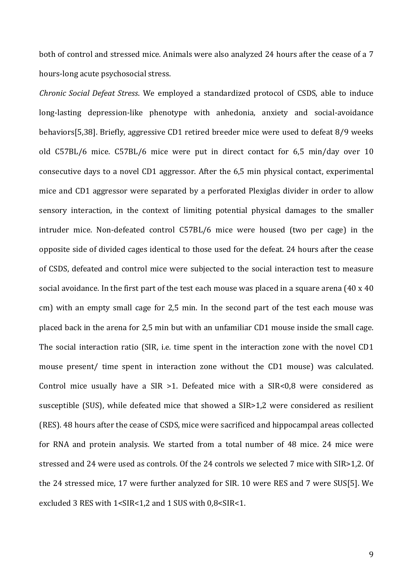both of control and stressed mice. Animals were also analyzed 24 hours after the cease of a 7 hours-long acute psychosocial stress.

*Chronic Social Defeat Stress.* We employed a standardized protocol of CSDS, able to induce long-lasting depression-like phenotype with anhedonia, anxiety and social-avoidance behaviors[5,38]. Briefly, aggressive CD1 retired breeder mice were used to defeat 8/9 weeks old C57BL/6 mice. C57BL/6 mice were put in direct contact for 6,5 min/day over 10 consecutive days to a novel CD1 aggressor. After the 6,5 min physical contact, experimental mice and CD1 aggressor were separated by a perforated Plexiglas divider in order to allow sensory interaction, in the context of limiting potential physical damages to the smaller intruder mice. Non-defeated control C57BL/6 mice were housed (two per cage) in the opposite side of divided cages identical to those used for the defeat. 24 hours after the cease of CSDS, defeated and control mice were subjected to the social interaction test to measure social avoidance. In the first part of the test each mouse was placed in a square arena  $(40 \times 40)$ cm) with an empty small cage for 2,5 min. In the second part of the test each mouse was placed back in the arena for 2,5 min but with an unfamiliar CD1 mouse inside the small cage. The social interaction ratio (SIR, i.e. time spent in the interaction zone with the novel CD1 mouse present/ time spent in interaction zone without the CD1 mouse) was calculated. Control mice usually have a SIR  $>1$ . Defeated mice with a SIR<0,8 were considered as susceptible (SUS), while defeated mice that showed a SIR>1,2 were considered as resilient (RES). 48 hours after the cease of CSDS, mice were sacrificed and hippocampal areas collected for RNA and protein analysis. We started from a total number of 48 mice. 24 mice were stressed and 24 were used as controls. Of the 24 controls we selected 7 mice with SIR>1,2. Of the 24 stressed mice, 17 were further analyzed for SIR. 10 were RES and 7 were SUS[5]. We excluded 3 RES with  $1 <$ SIR < 1,2 and 1 SUS with 0,8 < SIR < 1.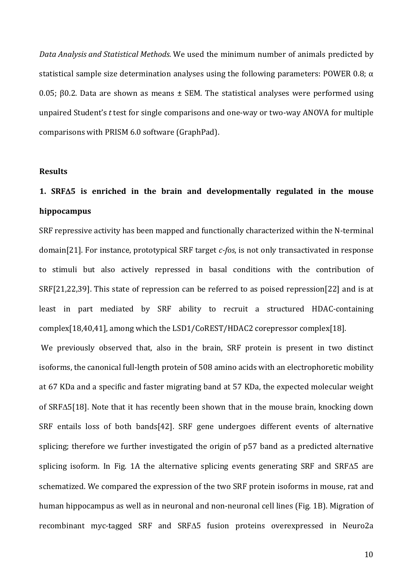Data Analysis and Statistical Methods. We used the minimum number of animals predicted by statistical sample size determination analyses using the following parameters: POWER 0.8;  $\alpha$ 0.05; β0.2. Data are shown as means  $±$  SEM. The statistical analyses were performed using unpaired Student's *t* test for single comparisons and one-way or two-way ANOVA for multiple comparisons with PRISM 6.0 software (GraphPad).

#### **Results**

# 1.  $SRF\Delta5$  is enriched in the brain and developmentally regulated in the mouse **hippocampus**

SRF repressive activity has been mapped and functionally characterized within the N-terminal domain[21]. For instance, prototypical SRF target *c-fos*, is not only transactivated in response to stimuli but also actively repressed in basal conditions with the contribution of SRF[21,22,39]. This state of repression can be referred to as poised repression[22] and is at least in part mediated by SRF ability to recruit a structured HDAC-containing complex[18,40,41], among which the LSD1/CoREST/HDAC2 corepressor complex[18].

We previously observed that, also in the brain, SRF protein is present in two distinct isoforms, the canonical full-length protein of 508 amino acids with an electrophoretic mobility at 67 KDa and a specific and faster migrating band at 57 KDa, the expected molecular weight of SRF $\Delta$ 5[18]. Note that it has recently been shown that in the mouse brain, knocking down SRF entails loss of both bands[42]. SRF gene undergoes different events of alternative splicing; therefore we further investigated the origin of p57 band as a predicted alternative splicing isoform. In Fig. 1A the alternative splicing events generating SRF and SRF $\Delta$ 5 are schematized. We compared the expression of the two SRF protein isoforms in mouse, rat and human hippocampus as well as in neuronal and non-neuronal cell lines (Fig. 1B). Migration of recombinant myc-tagged SRF and SRF $\Delta$ 5 fusion proteins overexpressed in Neuro2a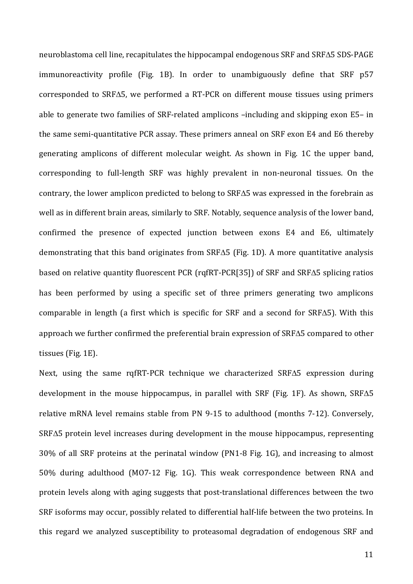neuroblastoma cell line, recapitulates the hippocampal endogenous  $SRF$  and  $SRF\Delta5$  SDS-PAGE immunoreactivity profile (Fig. 1B). In order to unambiguously define that SRF p57 corresponded to SRF $\Delta$ 5, we performed a RT-PCR on different mouse tissues using primers able to generate two families of SRF-related amplicons  $-$ including and skipping exon E5– in the same semi-quantitative PCR assay. These primers anneal on SRF exon E4 and E6 thereby generating amplicons of different molecular weight. As shown in Fig. 1C the upper band, corresponding to full-length SRF was highly prevalent in non-neuronal tissues. On the contrary, the lower amplicon predicted to belong to SRF $\Delta$ 5 was expressed in the forebrain as well as in different brain areas, similarly to SRF. Notably, sequence analysis of the lower band, confirmed the presence of expected junction between exons E4 and E6, ultimately demonstrating that this band originates from  $SRF\Delta5$  (Fig. 1D). A more quantitative analysis based on relative quantity fluorescent PCR (rqfRT-PCR[35]) of SRF and SRF $\Delta$ 5 splicing ratios has been performed by using a specific set of three primers generating two amplicons comparable in length (a first which is specific for SRF and a second for SRF $\Delta$ 5). With this approach we further confirmed the preferential brain expression of  $SRF\Delta5$  compared to other tissues (Fig. 1E).

Next, using the same rqfRT-PCR technique we characterized SRFA5 expression during development in the mouse hippocampus, in parallel with SRF (Fig. 1F). As shown,  $SRF\Delta5$ relative mRNA level remains stable from PN 9-15 to adulthood (months 7-12). Conversely,  $SRF\Delta5$  protein level increases during development in the mouse hippocampus, representing 30% of all SRF proteins at the perinatal window (PN1-8 Fig. 1G), and increasing to almost 50% during adulthood (MO7-12 Fig. 1G). This weak correspondence between RNA and protein levels along with aging suggests that post-translational differences between the two SRF isoforms may occur, possibly related to differential half-life between the two proteins. In this regard we analyzed susceptibility to proteasomal degradation of endogenous SRF and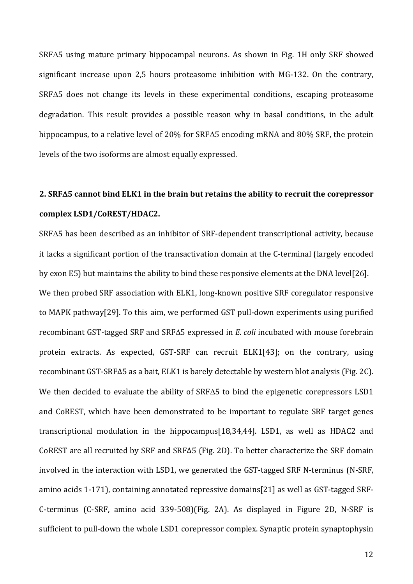$SRF\Delta5$  using mature primary hippocampal neurons. As shown in Fig. 1H only SRF showed significant increase upon 2,5 hours proteasome inhibition with  $MG-132$ . On the contrary,  $SRF\Delta5$  does not change its levels in these experimental conditions, escaping proteasome degradation. This result provides a possible reason why in basal conditions, in the adult hippocampus, to a relative level of 20% for SRF $\Delta$ 5 encoding mRNA and 80% SRF, the protein levels of the two isoforms are almost equally expressed.

# **2. SRF** $\Delta$ 5 cannot bind ELK1 in the brain but retains the ability to recruit the corepressor **complex LSD1/CoREST/HDAC2.**

 $SRF\Delta5$  has been described as an inhibitor of SRF-dependent transcriptional activity, because it lacks a significant portion of the transactivation domain at the C-terminal (largely encoded by exon E5) but maintains the ability to bind these responsive elements at the DNA level[26]. We then probed SRF association with ELK1, long-known positive SRF coregulator responsive to MAPK pathway[29]. To this aim, we performed GST pull-down experiments using purified recombinant GST-tagged SRF and SRF $\Delta$ 5 expressed in *E. coli* incubated with mouse forebrain protein extracts. As expected, GST-SRF can recruit ELK1[43]; on the contrary, using recombinant GST-SRFΔ5 as a bait, ELK1 is barely detectable by western blot analysis (Fig. 2C). We then decided to evaluate the ability of SRF $\Delta$ 5 to bind the epigenetic corepressors LSD1 and CoREST, which have been demonstrated to be important to regulate SRF target genes transcriptional modulation in the hippocampus[18,34,44]. LSD1, as well as HDAC2 and CoREST are all recruited by SRF and SRF $\Delta$ 5 (Fig. 2D). To better characterize the SRF domain involved in the interaction with LSD1, we generated the GST-tagged SRF N-terminus (N-SRF, amino acids 1-171), containing annotated repressive domains[21] as well as GST-tagged SRF-C-terminus (C-SRF, amino acid 339-508)(Fig. 2A). As displayed in Figure 2D, N-SRF is sufficient to pull-down the whole LSD1 corepressor complex. Synaptic protein synaptophysin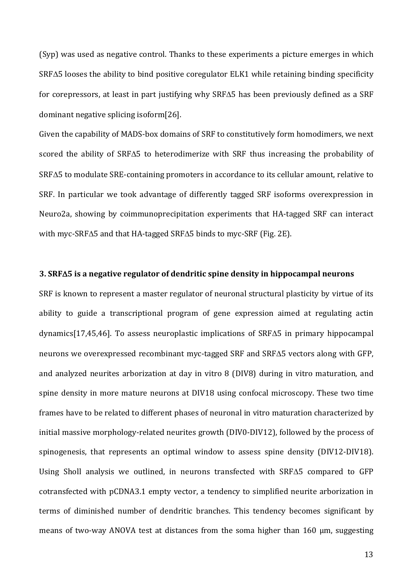(Syp) was used as negative control. Thanks to these experiments a picture emerges in which  $SRF\Delta5$  looses the ability to bind positive coregulator ELK1 while retaining binding specificity for corepressors, at least in part justifying why SRF $\Delta$ 5 has been previously defined as a SRF dominant negative splicing isoform $[26]$ .

Given the capability of MADS-box domains of SRF to constitutively form homodimers, we next scored the ability of SRF $\Delta$ 5 to heterodimerize with SRF thus increasing the probability of  $SRF\Delta5$  to modulate  $SRE$ -containing promoters in accordance to its cellular amount, relative to SRF. In particular we took advantage of differently tagged SRF isoforms overexpression in Neuro2a, showing by coimmunoprecipitation experiments that HA-tagged SRF can interact with myc-SRF $\Delta$ 5 and that HA-tagged SRF $\Delta$ 5 binds to myc-SRF (Fig. 2E).

#### **3. SRF**D**5 is a negative regulator of dendritic spine density in hippocampal neurons**

SRF is known to represent a master regulator of neuronal structural plasticity by virtue of its ability to guide a transcriptional program of gene expression aimed at regulating actin dynamics[17,45,46]. To assess neuroplastic implications of SRF $\Delta$ 5 in primary hippocampal neurons we overexpressed recombinant myc-tagged SRF and SRF $\Delta$ 5 vectors along with GFP, and analyzed neurites arborization at day in vitro 8 (DIV8) during in vitro maturation, and spine density in more mature neurons at DIV18 using confocal microscopy. These two time frames have to be related to different phases of neuronal in vitro maturation characterized by initial massive morphology-related neurites growth (DIV0-DIV12), followed by the process of spinogenesis, that represents an optimal window to assess spine density (DIV12-DIV18). Using Sholl analysis we outlined, in neurons transfected with  $SRF\Delta5$  compared to GFP cotransfected with pCDNA3.1 empty vector, a tendency to simplified neurite arborization in terms of diminished number of dendritic branches. This tendency becomes significant by means of two-way ANOVA test at distances from the soma higher than  $160 \mu m$ , suggesting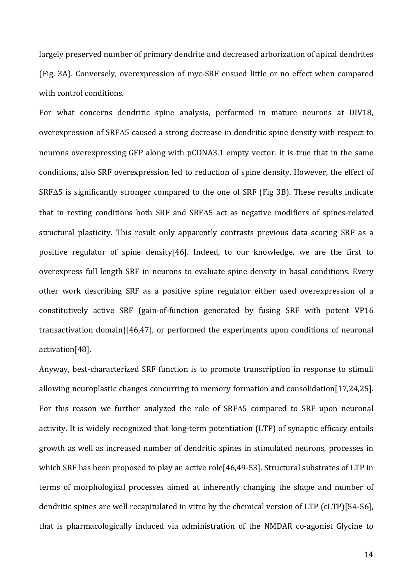largely preserved number of primary dendrite and decreased arborization of apical dendrites (Fig. 3A). Conversely, overexpression of myc-SRF ensued little or no effect when compared with control conditions.

For what concerns dendritic spine analysis, performed in mature neurons at DIV18, overexpression of SRF $\Delta$ 5 caused a strong decrease in dendritic spine density with respect to neurons overexpressing GFP along with pCDNA3.1 empty vector. It is true that in the same conditions, also SRF overexpression led to reduction of spine density. However, the effect of  $SRF\Delta5$  is significantly stronger compared to the one of SRF (Fig 3B). These results indicate that in resting conditions both SRF and SRF $\Delta$ 5 act as negative modifiers of spines-related structural plasticity. This result only apparently contrasts previous data scoring SRF as a positive regulator of spine density[46]. Indeed, to our knowledge, we are the first to overexpress full length SRF in neurons to evaluate spine density in basal conditions. Every other work describing SRF as a positive spine regulator either used overexpression of a constitutively active SRF (gain-of-function generated by fusing SRF with potent VP16 transactivation domain) $[46,47]$ , or performed the experiments upon conditions of neuronal activation[48].

Anyway, best-characterized SRF function is to promote transcription in response to stimuli allowing neuroplastic changes concurring to memory formation and consolidation[17,24,25]. For this reason we further analyzed the role of  $SRF\Delta5$  compared to SRF upon neuronal activity. It is widely recognized that long-term potentiation (LTP) of synaptic efficacy entails growth as well as increased number of dendritic spines in stimulated neurons, processes in which SRF has been proposed to play an active role  $[46,49-53]$ . Structural substrates of LTP in terms of morphological processes aimed at inherently changing the shape and number of dendritic spines are well recapitulated in vitro by the chemical version of LTP (cLTP)[54-56], that is pharmacologically induced via administration of the NMDAR co-agonist Glycine to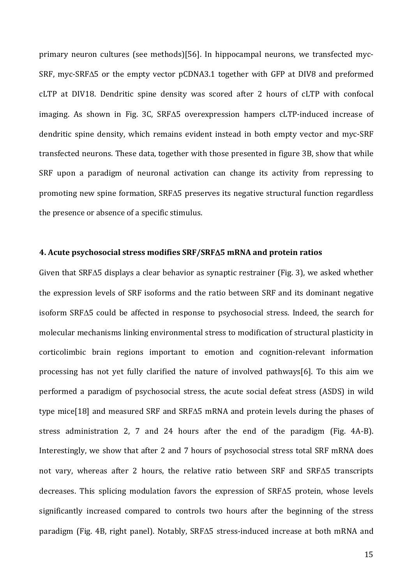primary neuron cultures (see methods)[56]. In hippocampal neurons, we transfected myc-SRF, myc-SRF $\Delta$ 5 or the empty vector pCDNA3.1 together with GFP at DIV8 and preformed cLTP at DIV18. Dendritic spine density was scored after 2 hours of cLTP with confocal imaging. As shown in Fig. 3C,  $SRF\Delta5$  overexpression hampers cLTP-induced increase of dendritic spine density, which remains evident instead in both empty vector and myc-SRF transfected neurons. These data, together with those presented in figure 3B, show that while SRF upon a paradigm of neuronal activation can change its activity from repressing to promoting new spine formation, SRF $\Delta$ 5 preserves its negative structural function regardless the presence or absence of a specific stimulus.

#### **4. Acute psychosocial stress modifies SRF/SRF**D**5 mRNA and protein ratios**

Given that SRF $\Delta$ 5 displays a clear behavior as synaptic restrainer (Fig. 3), we asked whether the expression levels of SRF isoforms and the ratio between SRF and its dominant negative  $isoform$  SRF $\Delta$ 5 could be affected in response to psychosocial stress. Indeed, the search for molecular mechanisms linking environmental stress to modification of structural plasticity in corticolimbic brain regions important to emotion and cognition-relevant information processing has not yet fully clarified the nature of involved pathways[6]. To this aim we performed a paradigm of psychosocial stress, the acute social defeat stress (ASDS) in wild type mice<sup>[18]</sup> and measured SRF and SRF $\Delta$ 5 mRNA and protein levels during the phases of stress administration 2, 7 and 24 hours after the end of the paradigm (Fig.  $4A-B$ ). Interestingly, we show that after 2 and 7 hours of psychosocial stress total SRF mRNA does not vary, whereas after 2 hours, the relative ratio between SRF and SRF $\Delta$ 5 transcripts decreases. This splicing modulation favors the expression of  $SRF\Delta5$  protein, whose levels significantly increased compared to controls two hours after the beginning of the stress paradigm (Fig. 4B, right panel). Notably, SRF $\Delta$ 5 stress-induced increase at both mRNA and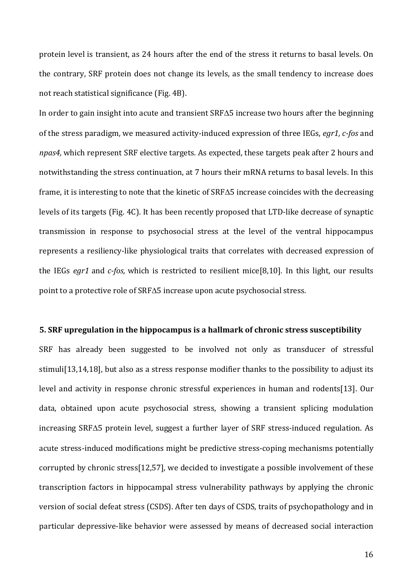protein level is transient, as 24 hours after the end of the stress it returns to basal levels. On the contrary, SRF protein does not change its levels, as the small tendency to increase does not reach statistical significance (Fig. 4B).

In order to gain insight into acute and transient SRF $\Delta$ 5 increase two hours after the beginning of the stress paradigm, we measured activity-induced expression of three IEGs, *egr1, c-fos* and *npas4*, which represent SRF elective targets. As expected, these targets peak after 2 hours and notwithstanding the stress continuation, at 7 hours their mRNA returns to basal levels. In this frame, it is interesting to note that the kinetic of SRF $\Delta$ 5 increase coincides with the decreasing levels of its targets (Fig. 4C). It has been recently proposed that LTD-like decrease of synaptic transmission in response to psychosocial stress at the level of the ventral hippocampus represents a resiliency-like physiological traits that correlates with decreased expression of the IEGs *egr1* and *c-fos*, which is restricted to resilient mice[8,10]. In this light, our results point to a protective role of  $SRF\Delta5$  increase upon acute psychosocial stress.

### **5.** SRF upregulation in the hippocampus is a hallmark of chronic stress susceptibility

SRF has already been suggested to be involved not only as transducer of stressful stimuli<sup>[13,14,18]</sup>, but also as a stress response modifier thanks to the possibility to adjust its level and activity in response chronic stressful experiences in human and rodents[13]. Our data, obtained upon acute psychosocial stress, showing a transient splicing modulation  $increasing$  SRF $\Delta$ 5 protein level, suggest a further layer of SRF stress-induced regulation. As acute stress-induced modifications might be predictive stress-coping mechanisms potentially corrupted by chronic stress[12,57], we decided to investigate a possible involvement of these transcription factors in hippocampal stress vulnerability pathways by applying the chronic version of social defeat stress (CSDS). After ten days of CSDS, traits of psychopathology and in particular depressive-like behavior were assessed by means of decreased social interaction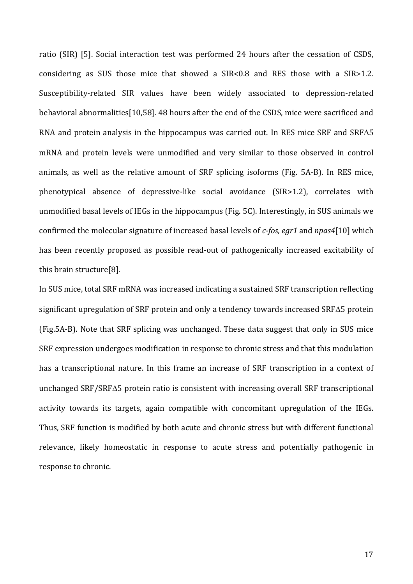ratio (SIR) [5]. Social interaction test was performed 24 hours after the cessation of CSDS, considering as SUS those mice that showed a  $SIR<0.8$  and RES those with a  $SIR>1.2$ . Susceptibility-related SIR values have been widely associated to depression-related behavioral abnormalities[10,58]. 48 hours after the end of the CSDS, mice were sacrificed and RNA and protein analysis in the hippocampus was carried out. In RES mice SRF and SRF $\Delta$ 5 mRNA and protein levels were unmodified and very similar to those observed in control animals, as well as the relative amount of SRF splicing isoforms (Fig. 5A-B). In RES mice, phenotypical absence of depressive-like social avoidance (SIR>1.2), correlates with unmodified basal levels of IEGs in the hippocampus (Fig. 5C). Interestingly, in SUS animals we confirmed the molecular signature of increased basal levels of *c-fos, egr1* and *npas4*[10] which has been recently proposed as possible read-out of pathogenically increased excitability of this brain structure<sup>[8]</sup>.

In SUS mice, total SRF mRNA was increased indicating a sustained SRF transcription reflecting significant upregulation of SRF protein and only a tendency towards increased SRF $\Delta$ 5 protein (Fig.5A-B). Note that SRF splicing was unchanged. These data suggest that only in SUS mice SRF expression undergoes modification in response to chronic stress and that this modulation has a transcriptional nature. In this frame an increase of SRF transcription in a context of unchanged  $SRF/SRF\Delta5$  protein ratio is consistent with increasing overall  $SRF$  transcriptional activity towards its targets, again compatible with concomitant upregulation of the IEGs. Thus, SRF function is modified by both acute and chronic stress but with different functional relevance, likely homeostatic in response to acute stress and potentially pathogenic in response to chronic.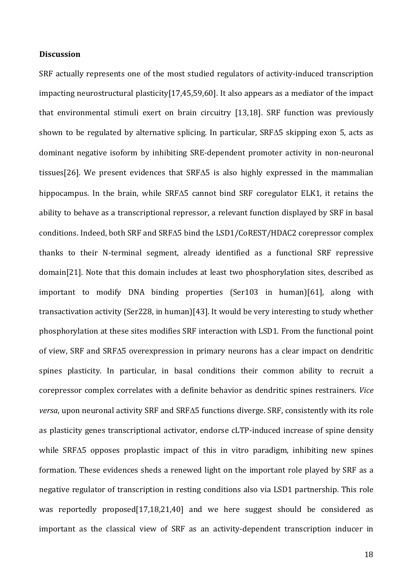# **Discussion**

SRF actually represents one of the most studied regulators of activity-induced transcription impacting neurostructural plasticity[17,45,59,60]. It also appears as a mediator of the impact that environmental stimuli exert on brain circuitry [13,18]. SRF function was previously shown to be regulated by alternative splicing. In particular,  $SRF\Delta5$  skipping exon 5, acts as dominant negative isoform by inhibiting SRE-dependent promoter activity in non-neuronal tissues<sup>[26]</sup>. We present evidences that SRF $\Delta$ 5 is also highly expressed in the mammalian hippocampus. In the brain, while SRF $\Delta$ 5 cannot bind SRF coregulator ELK1, it retains the ability to behave as a transcriptional repressor, a relevant function displayed by SRF in basal conditions. Indeed, both SRF and SRF $\Delta$ 5 bind the LSD1/CoREST/HDAC2 corepressor complex thanks to their N-terminal segment, already identified as a functional SRF repressive domain[21]. Note that this domain includes at least two phosphorylation sites, described as important to modify DNA binding properties (Ser103 in human)[61], along with transactivation activity (Ser228, in human)[43]. It would be very interesting to study whether phosphorylation at these sites modifies SRF interaction with LSD1. From the functional point of view, SRF and SRF $\Delta$ 5 overexpression in primary neurons has a clear impact on dendritic spines plasticity. In particular, in basal conditions their common ability to recruit a corepressor complex correlates with a definite behavior as dendritic spines restrainers. *Vice*  $versa$ , upon neuronal activity SRF and SRF $\Delta$ 5 functions diverge. SRF, consistently with its role as plasticity genes transcriptional activator, endorse cLTP-induced increase of spine density while SRF $\Delta$ 5 opposes proplastic impact of this in vitro paradigm, inhibiting new spines formation. These evidences sheds a renewed light on the important role played by SRF as a negative regulator of transcription in resting conditions also via LSD1 partnership. This role was reportedly proposed[17,18,21,40] and we here suggest should be considered as important as the classical view of SRF as an activity-dependent transcription inducer in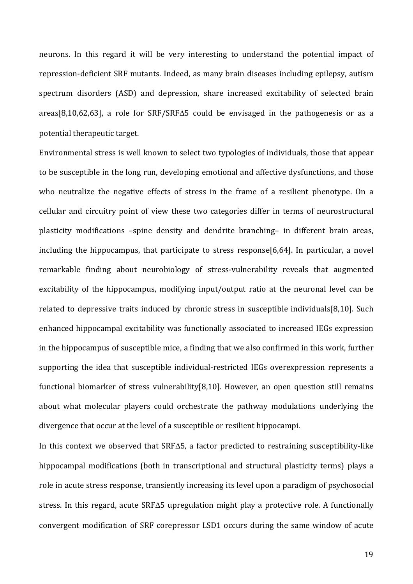neurons. In this regard it will be very interesting to understand the potential impact of repression-deficient SRF mutants. Indeed, as many brain diseases including epilepsy, autism spectrum disorders (ASD) and depression, share increased excitability of selected brain areas[8,10,62,63], a role for SRF/SRF $\Delta$ 5 could be envisaged in the pathogenesis or as a potential therapeutic target.

Environmental stress is well known to select two typologies of individuals, those that appear to be susceptible in the long run, developing emotional and affective dysfunctions, and those who neutralize the negative effects of stress in the frame of a resilient phenotype. On a cellular and circuitry point of view these two categories differ in terms of neurostructural plasticity modifications -spine density and dendrite branching- in different brain areas, including the hippocampus, that participate to stress  $response[6,64]$ . In particular, a novel remarkable finding about neurobiology of stress-vulnerability reveals that augmented excitability of the hippocampus, modifying input/output ratio at the neuronal level can be related to depressive traits induced by chronic stress in susceptible individuals[8,10]. Such enhanced hippocampal excitability was functionally associated to increased IEGs expression in the hippocampus of susceptible mice, a finding that we also confirmed in this work, further supporting the idea that susceptible individual-restricted IEGs overexpression represents a functional biomarker of stress vulnerability[8,10]. However, an open question still remains about what molecular players could orchestrate the pathway modulations underlying the divergence that occur at the level of a susceptible or resilient hippocampi.

In this context we observed that SRF $\Delta$ 5, a factor predicted to restraining susceptibility-like hippocampal modifications (both in transcriptional and structural plasticity terms) plays a role in acute stress response, transiently increasing its level upon a paradigm of psychosocial stress. In this regard, acute  $SRF\Delta5$  upregulation might play a protective role. A functionally convergent modification of SRF corepressor LSD1 occurs during the same window of acute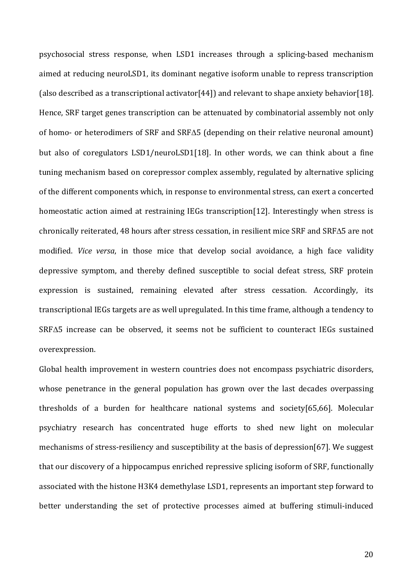psychosocial stress response, when LSD1 increases through a splicing-based mechanism aimed at reducing neuroLSD1, its dominant negative isoform unable to repress transcription (also described as a transcriptional activator[44]) and relevant to shape anxiety behavior[18]. Hence, SRF target genes transcription can be attenuated by combinatorial assembly not only of homo- or heterodimers of SRF and SRF $\Delta$ 5 (depending on their relative neuronal amount) but also of coregulators LSD1/neuroLSD1[18]. In other words, we can think about a fine tuning mechanism based on corepressor complex assembly, regulated by alternative splicing of the different components which, in response to environmental stress, can exert a concerted homeostatic action aimed at restraining IEGs transcription[12]. Interestingly when stress is chronically reiterated, 48 hours after stress cessation, in resilient mice SRF and SRFA5 are not modified. *Vice versa*, in those mice that develop social avoidance, a high face validity depressive symptom, and thereby defined susceptible to social defeat stress, SRF protein expression is sustained, remaining elevated after stress cessation. Accordingly, its transcriptional IEGs targets are as well upregulated. In this time frame, although a tendency to  $SRF\Delta5$  increase can be observed, it seems not be sufficient to counteract IEGs sustained overexpression. 

Global health improvement in western countries does not encompass psychiatric disorders, whose penetrance in the general population has grown over the last decades overpassing thresholds of a burden for healthcare national systems and society[65,66]. Molecular psychiatry research has concentrated huge efforts to shed new light on molecular mechanisms of stress-resiliency and susceptibility at the basis of depression $[67]$ . We suggest that our discovery of a hippocampus enriched repressive splicing isoform of SRF, functionally associated with the histone H3K4 demethylase LSD1, represents an important step forward to better understanding the set of protective processes aimed at buffering stimuli-induced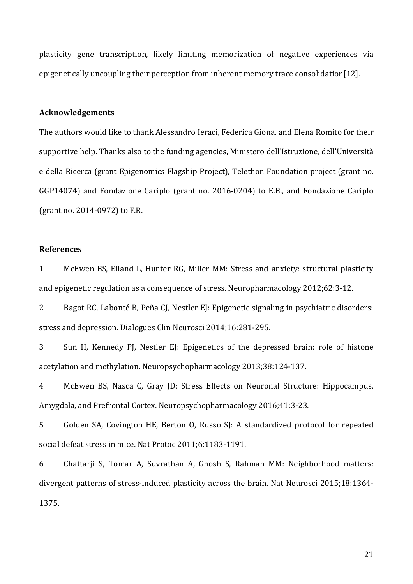plasticity gene transcription, likely limiting memorization of negative experiences via epigenetically uncoupling their perception from inherent memory trace consolidation[12].

# **Acknowledgements**

The authors would like to thank Alessandro Ieraci, Federica Giona, and Elena Romito for their supportive help. Thanks also to the funding agencies, Ministero dell'Istruzione, dell'Università e della Ricerca (grant Epigenomics Flagship Project), Telethon Foundation project (grant no. GGP14074) and Fondazione Cariplo (grant no. 2016-0204) to E.B., and Fondazione Cariplo (grant no. 2014-0972) to F.R.

# **References**

1 McEwen BS, Eiland L, Hunter RG, Miller MM: Stress and anxiety: structural plasticity and epigenetic regulation as a consequence of stress. Neuropharmacology 2012;62:3-12.

2 Bagot RC, Labonté B, Peña CJ, Nestler EJ: Epigenetic signaling in psychiatric disorders: stress and depression. Dialogues Clin Neurosci 2014;16:281-295.

3 Sun H, Kennedy PJ, Nestler EJ: Epigenetics of the depressed brain: role of histone acetylation and methylation. Neuropsychopharmacology 2013;38:124-137.

4 McEwen BS, Nasca C, Gray JD: Stress Effects on Neuronal Structure: Hippocampus, Amygdala, and Prefrontal Cortex. Neuropsychopharmacology 2016;41:3-23.

5 Golden SA, Covington HE, Berton O, Russo SJ: A standardized protocol for repeated social defeat stress in mice. Nat Protoc 2011;6:1183-1191.

6 Chattarji S, Tomar A, Suvrathan A, Ghosh S, Rahman MM: Neighborhood matters: divergent patterns of stress-induced plasticity across the brain. Nat Neurosci 2015;18:1364-1375.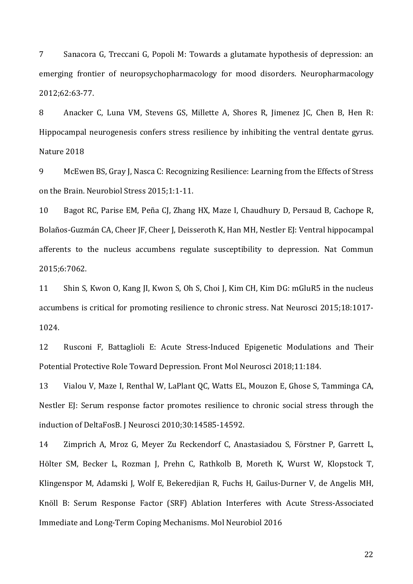7 Sanacora G, Treccani G, Popoli M: Towards a glutamate hypothesis of depression: an emerging frontier of neuropsychopharmacology for mood disorders. Neuropharmacology 2012;62:63-77.

8 Anacker C, Luna VM, Stevens GS, Millette A, Shores R, Jimenez JC, Chen B, Hen R: Hippocampal neurogenesis confers stress resilience by inhibiting the ventral dentate gyrus. Nature 2018

9 McEwen BS, Gray J, Nasca C: Recognizing Resilience: Learning from the Effects of Stress on the Brain. Neurobiol Stress 2015;1:1-11.

10 Bagot RC, Parise EM, Peña CJ, Zhang HX, Maze I, Chaudhury D, Persaud B, Cachope R, Bolaños-Guzmán CA, Cheer JF, Cheer J, Deisseroth K, Han MH, Nestler EJ: Ventral hippocampal afferents to the nucleus accumbens regulate susceptibility to depression. Nat Commun 2015;6:7062.

11 Shin S, Kwon O, Kang JI, Kwon S, Oh S, Choi J, Kim CH, Kim DG: mGluR5 in the nucleus accumbens is critical for promoting resilience to chronic stress. Nat Neurosci 2015;18:1017-1024.

12 Rusconi F, Battaglioli E: Acute Stress-Induced Epigenetic Modulations and Their Potential Protective Role Toward Depression. Front Mol Neurosci 2018;11:184.

13 Vialou V, Maze I, Renthal W, LaPlant QC, Watts EL, Mouzon E, Ghose S, Tamminga CA, Nestler EJ: Serum response factor promotes resilience to chronic social stress through the induction of DeltaFosB. J Neurosci 2010;30:14585-14592.

14 Zimprich A, Mroz G, Meyer Zu Reckendorf C, Anastasiadou S, Förstner P, Garrett L, Hölter SM, Becker L, Rozman J, Prehn C, Rathkolb B, Moreth K, Wurst W, Klopstock T, Klingenspor M, Adamski J, Wolf E, Bekeredjian R, Fuchs H, Gailus-Durner V, de Angelis MH, Knöll B: Serum Response Factor (SRF) Ablation Interferes with Acute Stress-Associated Immediate and Long-Term Coping Mechanisms. Mol Neurobiol 2016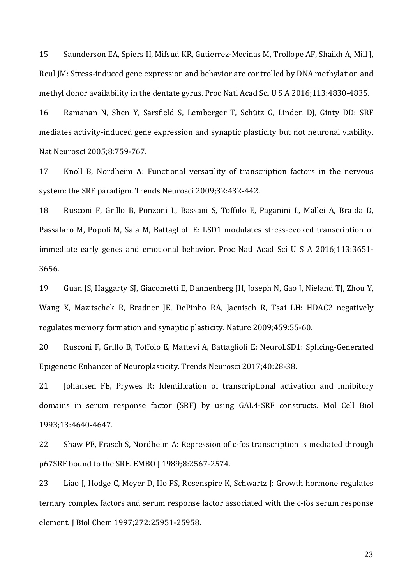15 Saunderson EA, Spiers H, Mifsud KR, Gutierrez-Mecinas M, Trollope AF, Shaikh A, Mill J, Reul JM: Stress-induced gene expression and behavior are controlled by DNA methylation and methyl donor availability in the dentate gyrus. Proc Natl Acad Sci U S A 2016;113:4830-4835.

16 Ramanan N, Shen Y, Sarsfield S, Lemberger T, Schütz G, Linden DJ, Ginty DD: SRF mediates activity-induced gene expression and synaptic plasticity but not neuronal viability. Nat Neurosci 2005;8:759-767.

17 Knöll B, Nordheim A: Functional versatility of transcription factors in the nervous system: the SRF paradigm. Trends Neurosci 2009;32:432-442.

18 Rusconi F, Grillo B, Ponzoni L, Bassani S, Toffolo E, Paganini L, Mallei A, Braida D, Passafaro M, Popoli M, Sala M, Battaglioli E: LSD1 modulates stress-evoked transcription of immediate early genes and emotional behavior. Proc Natl Acad Sci U S A 2016;113:3651-3656.

19 Guan JS, Haggarty SJ, Giacometti E, Dannenberg JH, Joseph N, Gao J, Nieland TJ, Zhou Y, Wang X, Mazitschek R, Bradner JE, DePinho RA, Jaenisch R, Tsai LH: HDAC2 negatively regulates memory formation and synaptic plasticity. Nature 2009;459:55-60.

20 Rusconi F, Grillo B, Toffolo E, Mattevi A, Battaglioli E: NeuroLSD1: Splicing-Generated Epigenetic Enhancer of Neuroplasticity. Trends Neurosci 2017;40:28-38.

21 Johansen FE, Prywes R: Identification of transcriptional activation and inhibitory domains in serum response factor (SRF) by using GAL4-SRF constructs. Mol Cell Biol 1993;13:4640-4647.

22 Shaw PE, Frasch S, Nordheim A: Repression of c-fos transcription is mediated through p67SRF bound to the SRE. EMBO [1989;8:2567-2574.

23 Liao J, Hodge C, Meyer D, Ho PS, Rosenspire K, Schwartz J: Growth hormone regulates ternary complex factors and serum response factor associated with the c-fos serum response element. J Biol Chem 1997;272:25951-25958.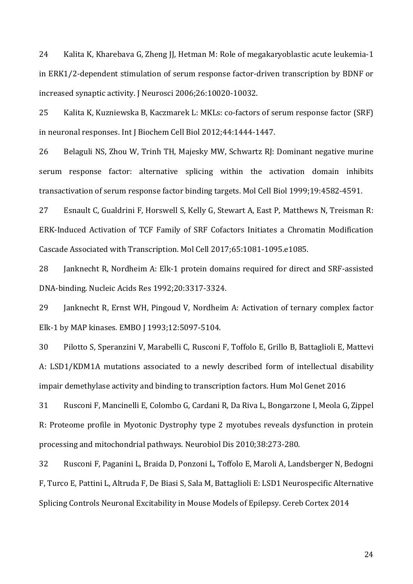24 Kalita K, Kharebava G, Zheng JJ, Hetman M: Role of megakaryoblastic acute leukemia-1 in ERK1/2-dependent stimulation of serum response factor-driven transcription by BDNF or increased synaptic activity. J Neurosci 2006;26:10020-10032.

25 Kalita K, Kuzniewska B, Kaczmarek L: MKLs: co-factors of serum response factor (SRF) in neuronal responses. Int J Biochem Cell Biol 2012;44:1444-1447.

26 Belaguli NS, Zhou W, Trinh TH, Majesky MW, Schwartz RJ: Dominant negative murine serum response factor: alternative splicing within the activation domain inhibits transactivation of serum response factor binding targets. Mol Cell Biol 1999;19:4582-4591.

27 Esnault C, Gualdrini F, Horswell S, Kelly G, Stewart A, East P, Matthews N, Treisman R: ERK-Induced Activation of TCF Family of SRF Cofactors Initiates a Chromatin Modification Cascade Associated with Transcription. Mol Cell 2017;65:1081-1095.e1085.

28 Janknecht R, Nordheim A: Elk-1 protein domains required for direct and SRF-assisted DNA-binding. Nucleic Acids Res 1992;20:3317-3324.

29 Ianknecht R, Ernst WH, Pingoud V, Nordheim A: Activation of ternary complex factor Elk-1 by MAP kinases. EMBO J 1993;12:5097-5104.

30 Pilotto S, Speranzini V, Marabelli C, Rusconi F, Toffolo E, Grillo B, Battaglioli E, Mattevi A: LSD1/KDM1A mutations associated to a newly described form of intellectual disability impair demethylase activity and binding to transcription factors. Hum Mol Genet 2016

31 Rusconi F, Mancinelli E, Colombo G, Cardani R, Da Riva L, Bongarzone I, Meola G, Zippel R: Proteome profile in Myotonic Dystrophy type 2 myotubes reveals dysfunction in protein processing and mitochondrial pathways. Neurobiol Dis 2010;38:273-280.

32 Rusconi F, Paganini L, Braida D, Ponzoni L, Toffolo E, Maroli A, Landsberger N, Bedogni F, Turco E, Pattini L, Altruda F, De Biasi S, Sala M, Battaglioli E: LSD1 Neurospecific Alternative Splicing Controls Neuronal Excitability in Mouse Models of Epilepsy. Cereb Cortex 2014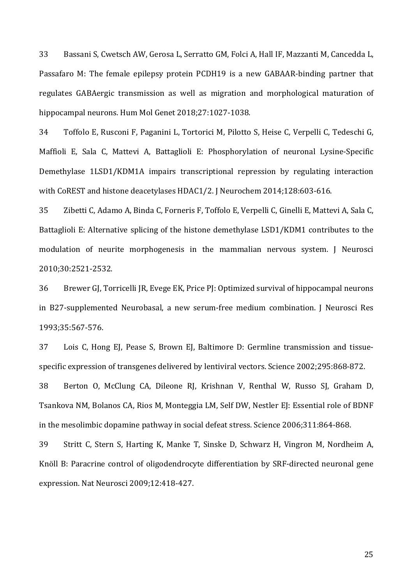33 Bassani S, Cwetsch AW, Gerosa L, Serratto GM, Folci A, Hall IF, Mazzanti M, Cancedda L, Passafaro M: The female epilepsy protein PCDH19 is a new GABAAR-binding partner that regulates GABAergic transmission as well as migration and morphological maturation of hippocampal neurons. Hum Mol Genet 2018;27:1027-1038.

34 Toffolo E, Rusconi F, Paganini L, Tortorici M, Pilotto S, Heise C, Verpelli C, Tedeschi G, Maffioli E, Sala C, Mattevi A, Battaglioli E: Phosphorylation of neuronal Lysine-Specific Demethylase 1LSD1/KDM1A impairs transcriptional repression by regulating interaction with CoREST and histone deacetylases HDAC1/2. J Neurochem 2014;128:603-616.

35 Zibetti C, Adamo A, Binda C, Forneris F, Toffolo E, Verpelli C, Ginelli E, Mattevi A, Sala C, Battaglioli E: Alternative splicing of the histone demethylase LSD1/KDM1 contributes to the modulation of neurite morphogenesis in the mammalian nervous system. J Neurosci 2010;30:2521-2532.

36 Brewer GJ, Torricelli JR, Evege EK, Price PJ: Optimized survival of hippocampal neurons in B27-supplemented Neurobasal, a new serum-free medium combination. J Neurosci Res 1993;35:567-576.

37 Lois C, Hong El, Pease S, Brown El, Baltimore D; Germline transmission and tissuespecific expression of transgenes delivered by lentiviral vectors. Science 2002;295:868-872.

38 Berton O, McClung CA, Dileone RJ, Krishnan V, Renthal W, Russo SJ, Graham D, Tsankova NM, Bolanos CA, Rios M, Monteggia LM, Self DW, Nestler EJ: Essential role of BDNF in the mesolimbic dopamine pathway in social defeat stress. Science 2006;311:864-868.

39 Stritt C, Stern S, Harting K, Manke T, Sinske D, Schwarz H, Vingron M, Nordheim A, Knöll B: Paracrine control of oligodendrocyte differentiation by SRF-directed neuronal gene expression. Nat Neurosci 2009;12:418-427.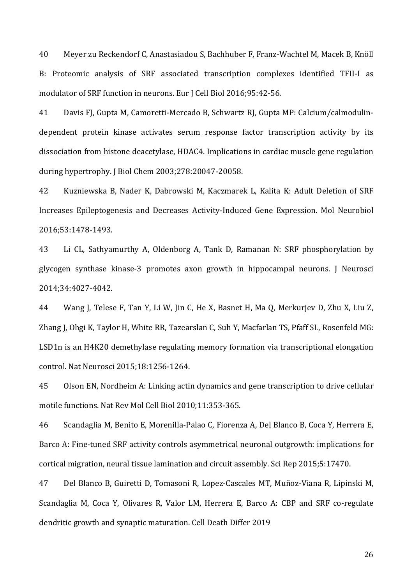40 Meyer zu Reckendorf C, Anastasiadou S, Bachhuber F, Franz-Wachtel M, Macek B, Knöll B: Proteomic analysis of SRF associated transcription complexes identified TFII-I as modulator of SRF function in neurons. Eur J Cell Biol 2016;95:42-56.

41 Davis FJ, Gupta M, Camoretti-Mercado B, Schwartz RJ, Gupta MP: Calcium/calmodulindependent protein kinase activates serum response factor transcription activity by its dissociation from histone deacetylase, HDAC4. Implications in cardiac muscle gene regulation during hypertrophy. J Biol Chem 2003;278:20047-20058.

42 Kuzniewska B, Nader K, Dabrowski M, Kaczmarek L, Kalita K: Adult Deletion of SRF Increases Epileptogenesis and Decreases Activity-Induced Gene Expression. Mol Neurobiol 2016;53:1478-1493.

43 Li CL, Sathyamurthy A, Oldenborg A, Tank D, Ramanan N: SRF phosphorylation by glycogen synthase kinase-3 promotes axon growth in hippocampal neurons. J Neurosci 2014;34:4027-4042.

44 Wang J, Telese F, Tan Y, Li W, Jin C, He X, Basnet H, Ma Q, Merkurjev D, Zhu X, Liu Z, Zhang J, Ohgi K, Taylor H, White RR, Tazearslan C, Suh Y, Macfarlan TS, Pfaff SL, Rosenfeld MG: LSD1n is an H4K20 demethylase regulating memory formation via transcriptional elongation control. Nat Neurosci 2015;18:1256-1264.

45 Olson EN, Nordheim A: Linking actin dynamics and gene transcription to drive cellular motile functions. Nat Rev Mol Cell Biol 2010;11:353-365.

46 Scandaglia M, Benito E, Morenilla-Palao C, Fiorenza A, Del Blanco B, Coca Y, Herrera E, Barco A: Fine-tuned SRF activity controls asymmetrical neuronal outgrowth: implications for cortical migration, neural tissue lamination and circuit assembly. Sci Rep 2015;5:17470.

47 Del Blanco B, Guiretti D, Tomasoni R, Lopez-Cascales MT, Muñoz-Viana R, Lipinski M, Scandaglia M, Coca Y, Olivares R, Valor LM, Herrera E, Barco A: CBP and SRF co-regulate dendritic growth and synaptic maturation. Cell Death Differ 2019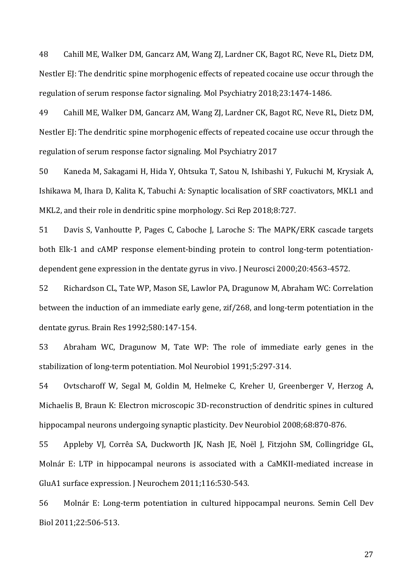48 Cahill ME, Walker DM, Gancarz AM, Wang ZJ, Lardner CK, Bagot RC, Neve RL, Dietz DM, Nestler EJ: The dendritic spine morphogenic effects of repeated cocaine use occur through the regulation of serum response factor signaling. Mol Psychiatry 2018;23:1474-1486.

49 Cahill ME, Walker DM, Gancarz AM, Wang ZJ, Lardner CK, Bagot RC, Neve RL, Dietz DM, Nestler EJ: The dendritic spine morphogenic effects of repeated cocaine use occur through the regulation of serum response factor signaling. Mol Psychiatry 2017

50 Kaneda M, Sakagami H, Hida Y, Ohtsuka T, Satou N, Ishibashi Y, Fukuchi M, Krysiak A, Ishikawa M, Ihara D, Kalita K, Tabuchi A: Synaptic localisation of SRF coactivators, MKL1 and MKL2, and their role in dendritic spine morphology. Sci Rep 2018;8:727.

51 Davis S, Vanhoutte P, Pages C, Caboche J, Laroche S: The MAPK/ERK cascade targets both Elk-1 and cAMP response element-binding protein to control long-term potentiationdependent gene expression in the dentate gyrus in vivo. J Neurosci 2000;20:4563-4572.

52 Richardson CL, Tate WP, Mason SE, Lawlor PA, Dragunow M, Abraham WC: Correlation between the induction of an immediate early gene, zif/268, and long-term potentiation in the dentate gyrus. Brain Res 1992;580:147-154.

53 Abraham WC, Dragunow M, Tate WP: The role of immediate early genes in the stabilization of long-term potentiation. Mol Neurobiol 1991;5:297-314.

54 Ovtscharoff W, Segal M, Goldin M, Helmeke C, Kreher U, Greenberger V, Herzog A, Michaelis B, Braun K: Electron microscopic 3D-reconstruction of dendritic spines in cultured hippocampal neurons undergoing synaptic plasticity. Dev Neurobiol 2008;68:870-876.

55 Appleby VI, Corrêa SA, Duckworth JK, Nash JE, Noël J, Fitzjohn SM, Collingridge GL, Molnár E: LTP in hippocampal neurons is associated with a CaMKII-mediated increase in GluA1 surface expression. J Neurochem 2011;116:530-543.

56 Molnár E: Long-term potentiation in cultured hippocampal neurons. Semin Cell Dev Biol 2011;22:506-513.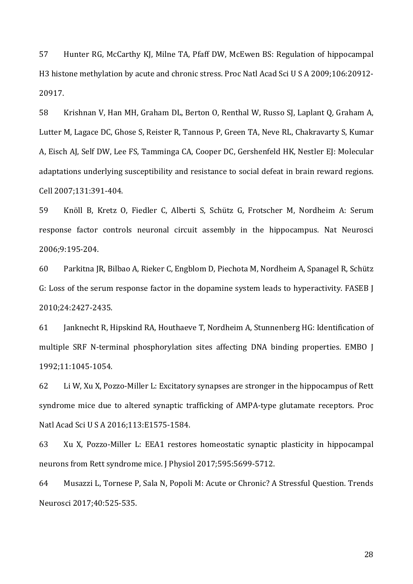57 Hunter RG, McCarthy KJ, Milne TA, Pfaff DW, McEwen BS: Regulation of hippocampal H3 histone methylation by acute and chronic stress. Proc Natl Acad Sci U S A 2009;106:20912-20917.

58 Krishnan V, Han MH, Graham DL, Berton O, Renthal W, Russo SJ, Laplant Q, Graham A, Lutter M, Lagace DC, Ghose S, Reister R, Tannous P, Green TA, Neve RL, Chakravarty S, Kumar A, Eisch AJ, Self DW, Lee FS, Tamminga CA, Cooper DC, Gershenfeld HK, Nestler EJ: Molecular adaptations underlying susceptibility and resistance to social defeat in brain reward regions. Cell 2007;131:391-404.

59 Knöll B, Kretz O, Fiedler C, Alberti S, Schütz G, Frotscher M, Nordheim A: Serum response factor controls neuronal circuit assembly in the hippocampus. Nat Neurosci 2006;9:195-204.

60 Parkitna JR, Bilbao A, Rieker C, Engblom D, Piechota M, Nordheim A, Spanagel R, Schütz G: Loss of the serum response factor in the dopamine system leads to hyperactivity. FASEB I 2010;24:2427-2435.

61 Janknecht R, Hipskind RA, Houthaeve T, Nordheim A, Stunnenberg HG: Identification of multiple SRF N-terminal phosphorylation sites affecting DNA binding properties. EMBO J 1992;11:1045-1054.

62 Li W, Xu X, Pozzo-Miller L: Excitatory synapses are stronger in the hippocampus of Rett syndrome mice due to altered synaptic trafficking of AMPA-type glutamate receptors. Proc Natl Acad Sci U S A 2016;113:E1575-1584.

63 Xu X, Pozzo-Miller L: EEA1 restores homeostatic synaptic plasticity in hippocampal neurons from Rett syndrome mice. J Physiol 2017;595:5699-5712.

64 Musazzi L, Tornese P, Sala N, Popoli M: Acute or Chronic? A Stressful Question. Trends Neurosci 2017;40:525-535.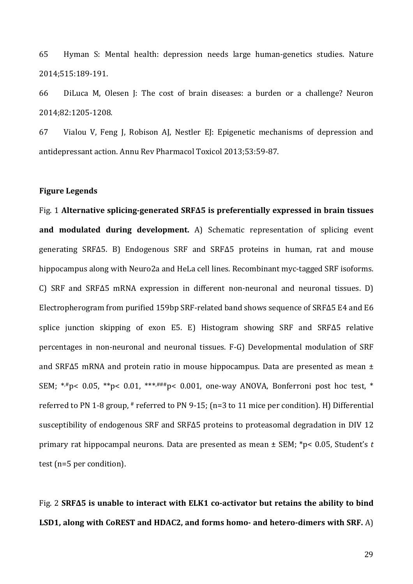65 Hyman S: Mental health: depression needs large human-genetics studies. Nature 2014;515:189-191.

66 DiLuca M, Olesen J: The cost of brain diseases: a burden or a challenge? Neuron 2014;82:1205-1208.

67 Vialou V, Feng J, Robison AJ, Nestler EJ: Epigenetic mechanisms of depression and antidepressant action. Annu Rev Pharmacol Toxicol 2013;53:59-87.

#### **Figure Legends**

Fig. 1 Alternative splicing-generated SRFΔ5 is preferentially expressed in brain tissues **and modulated during development.** A) Schematic representation of splicing event generating SRFΔ5. B) Endogenous SRF and SRFΔ5 proteins in human, rat and mouse hippocampus along with Neuro2a and HeLa cell lines. Recombinant myc-tagged SRF isoforms. C) SRF and SRF $\Delta$ 5 mRNA expression in different non-neuronal and neuronal tissues. D) Electropherogram from purified 159bp SRF-related band shows sequence of SRF $\Delta$ 5 E4 and E6 splice junction skipping of exon E5. E) Histogram showing SRF and SRF $\Delta$ 5 relative percentages in non-neuronal and neuronal tissues. F-G) Developmental modulation of SRF and SRF $\Delta$ 5 mRNA and protein ratio in mouse hippocampus. Data are presented as mean  $\pm$ SEM; \*,#p< 0.05, \*\*p< 0.01, \*\*\*,###p< 0.001, one-way ANOVA, Bonferroni post hoc test, \* referred to PN 1-8 group,  $*$  referred to PN 9-15; (n=3 to 11 mice per condition). H) Differential susceptibility of endogenous SRF and SRF $\Delta$ 5 proteins to proteasomal degradation in DIV 12 primary rat hippocampal neurons. Data are presented as mean  $\pm$  SEM;  $*p$  < 0.05, Student's t test (n=5 per condition).

Fig. 2 SRFΔ5 is unable to interact with ELK1 co-activator but retains the ability to bind **LSD1, along with CoREST and HDAC2, and forms homo- and hetero-dimers with SRF.** A)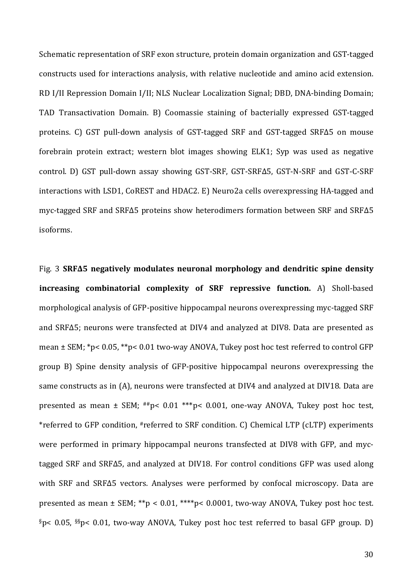Schematic representation of SRF exon structure, protein domain organization and GST-tagged constructs used for interactions analysis, with relative nucleotide and amino acid extension. RD I/II Repression Domain I/II; NLS Nuclear Localization Signal; DBD, DNA-binding Domain; TAD Transactivation Domain. B) Coomassie staining of bacterially expressed GST-tagged proteins. C) GST pull-down analysis of GST-tagged SRF and GST-tagged SRFΔ5 on mouse forebrain protein extract; western blot images showing ELK1; Syp was used as negative control. D) GST pull-down assay showing GST-SRF, GST-SRFΔ5, GST-N-SRF and GST-C-SRF interactions with LSD1, CoREST and HDAC2. E) Neuro2a cells overexpressing HA-tagged and myc-tagged SRF and SRFΔ5 proteins show heterodimers formation between SRF and SRFΔ5 isoforms.

Fig. 3 **SRFΔ5** negatively modulates neuronal morphology and dendritic spine density **increasing combinatorial complexity of SRF repressive function.** A) Sholl-based morphological analysis of GFP-positive hippocampal neurons overexpressing myc-tagged SRF and SRFΔ5; neurons were transfected at DIV4 and analyzed at DIV8. Data are presented as mean  $\pm$  SEM; \*p< 0.05, \*\*p< 0.01 two-way ANOVA, Tukey post hoc test referred to control GFP group B) Spine density analysis of GFP-positive hippocampal neurons overexpressing the same constructs as in (A), neurons were transfected at DIV4 and analyzed at DIV18. Data are presented as mean  $\pm$  SEM;  $^{#}\text{p}$  = 0.01 \*\*\*p < 0.001, one-way ANOVA, Tukey post hoc test, \*referred to GFP condition, #referred to SRF condition. C) Chemical LTP (cLTP) experiments were performed in primary hippocampal neurons transfected at DIV8 with GFP, and myctagged SRF and SRFΔ5, and analyzed at DIV18. For control conditions GFP was used along with SRF and SRF $\Delta$ 5 vectors. Analyses were performed by confocal microscopy. Data are presented as mean  $\pm$  SEM; \*\*p < 0.01, \*\*\*\*p< 0.0001, two-way ANOVA, Tukey post hoc test. §p< 0.05, §§p< 0.01, two-way ANOVA, Tukey post hoc test referred to basal GFP group. D)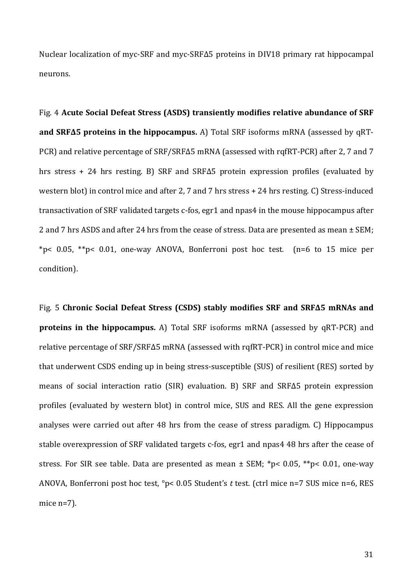Nuclear localization of myc-SRF and myc-SRFΔ5 proteins in DIV18 primary rat hippocampal neurons.

Fig. 4 Acute Social Defeat Stress (ASDS) transiently modifies relative abundance of SRF **and SRFΔ5 proteins in the hippocampus.** A) Total SRF isoforms mRNA (assessed by qRT-PCR) and relative percentage of SRF/SRFΔ5 mRNA (assessed with rqfRT-PCR) after 2, 7 and 7 hrs stress + 24 hrs resting. B) SRF and SRF $\Delta$ 5 protein expression profiles (evaluated by western blot) in control mice and after 2, 7 and 7 hrs stress  $+ 24$  hrs resting. C) Stress-induced transactivation of SRF validated targets c-fos, egr1 and npas4 in the mouse hippocampus after 2 and 7 hrs ASDS and after 24 hrs from the cease of stress. Data are presented as mean  $\pm$  SEM; \*p< 0.05, \*\*p< 0.01, one-way ANOVA, Bonferroni post hoc test. (n=6 to 15 mice per condition).

Fig. 5 Chronic Social Defeat Stress (CSDS) stably modifies SRF and SRF $\Delta$ 5 mRNAs and **proteins in the hippocampus.** A) Total SRF isoforms mRNA (assessed by qRT-PCR) and relative percentage of SRF/SRFΔ5 mRNA (assessed with rqfRT-PCR) in control mice and mice that underwent CSDS ending up in being stress-susceptible (SUS) of resilient (RES) sorted by means of social interaction ratio  $(SIR)$  evaluation. B) SRF and SRF $\Delta$ 5 protein expression profiles (evaluated by western blot) in control mice, SUS and RES. All the gene expression analyses were carried out after 48 hrs from the cease of stress paradigm. C) Hippocampus stable overexpression of SRF validated targets c-fos, egr1 and npas4 48 hrs after the cease of stress. For SIR see table. Data are presented as mean  $\pm$  SEM; \*p< 0.05, \*\*p< 0.01, one-way ANOVA, Bonferroni post hoc test, °p< 0.05 Student's t test. (ctrl mice n=7 SUS mice n=6, RES mice  $n=7$ ).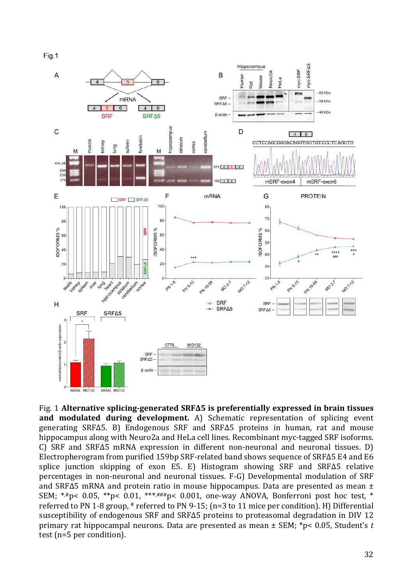Fig.1



Fig. 1 **Alternative splicing-generated SRFΔ5** is preferentially expressed in brain tissues and modulated during development. A) Schematic representation of splicing event generating SRFΔ5. B) Endogenous SRF and SRFΔ5 proteins in human, rat and mouse hippocampus along with Neuro2a and HeLa cell lines. Recombinant myc-tagged SRF isoforms. C) SRF and SRF $\Delta$ 5 mRNA expression in different non-neuronal and neuronal tissues. D) Electropherogram from purified 159bp SRF-related band shows sequence of SRF $\Delta$ 5 E4 and E6 splice junction skipping of exon E5. E) Histogram showing SRF and SRFΔ5 relative percentages in non-neuronal and neuronal tissues. F-G) Developmental modulation of SRF and SRF $\Delta$ 5 mRNA and protein ratio in mouse hippocampus. Data are presented as mean  $\pm$ SEM; \*,#p< 0.05, \*\*p< 0.01, \*\*\*,###p< 0.001, one-way ANOVA, Bonferroni post hoc test, \* referred to PN 1-8 group, # referred to PN 9-15; (n=3 to 11 mice per condition). H) Differential susceptibility of endogenous SRF and SRF $\Delta$ 5 proteins to proteasomal degradation in DIV 12 primary rat hippocampal neurons. Data are presented as mean  $\pm$  SEM; \*p< 0.05, Student's t test (n=5 per condition).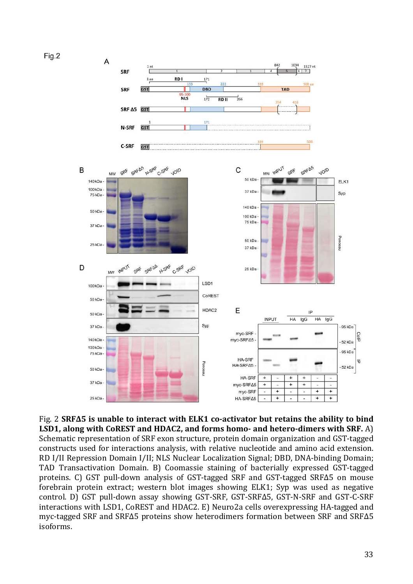

Fig. 2 SRFΔ5 is unable to interact with ELK1 co-activator but retains the ability to bind **LSD1, along with CoREST and HDAC2, and forms homo- and hetero-dimers with SRF.** A) Schematic representation of SRF exon structure, protein domain organization and GST-tagged constructs used for interactions analysis, with relative nucleotide and amino acid extension. RD I/II Repression Domain I/II; NLS Nuclear Localization Signal; DBD, DNA-binding Domain; TAD Transactivation Domain. B) Coomassie staining of bacterially expressed GST-tagged proteins. C) GST pull-down analysis of GST-tagged SRF and GST-tagged SRFΔ5 on mouse forebrain protein extract; western blot images showing ELK1; Syp was used as negative control. D) GST pull-down assay showing GST-SRF, GST-SRFΔ5, GST-N-SRF and GST-C-SRF interactions with LSD1, CoREST and HDAC2. E) Neuro2a cells overexpressing HA-tagged and myc-tagged SRF and SRFΔ5 proteins show heterodimers formation between SRF and SRFΔ5 isoforms.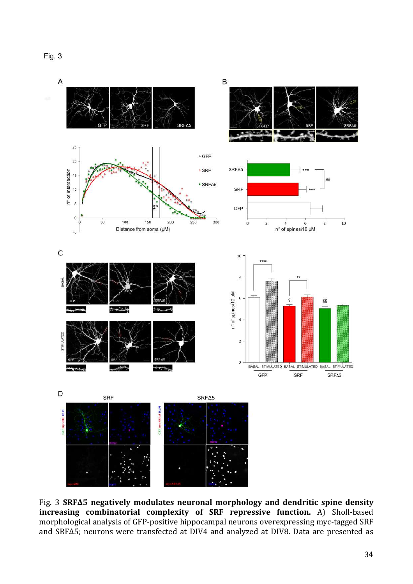

Fig. 3 SRFΔ5 negatively modulates neuronal morphology and dendritic spine density **increasing combinatorial complexity of SRF repressive function.** A) Sholl-based morphological analysis of GFP-positive hippocampal neurons overexpressing myc-tagged SRF and SRF $\Delta$ 5; neurons were transfected at DIV4 and analyzed at DIV8. Data are presented as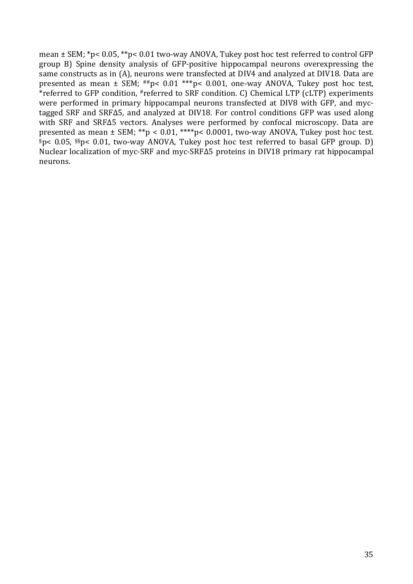mean  $\pm$  SEM; \*p< 0.05, \*\*p< 0.01 two-way ANOVA, Tukey post hoc test referred to control GFP group B) Spine density analysis of GFP-positive hippocampal neurons overexpressing the same constructs as in (A), neurons were transfected at DIV4 and analyzed at DIV18. Data are presented as mean  $\pm$  SEM; ##p< 0.01 \*\*\*p< 0.001, one-way ANOVA, Tukey post hoc test, \*referred to GFP condition, #referred to SRF condition. C) Chemical LTP (cLTP) experiments were performed in primary hippocampal neurons transfected at DIV8 with GFP, and myctagged SRF and SRFΔ5, and analyzed at DIV18. For control conditions GFP was used along with SRF and SRF $\Delta$ 5 vectors. Analyses were performed by confocal microscopy. Data are presented as mean  $\pm$  SEM; \*\*p < 0.01, \*\*\*\*p < 0.0001, two-way ANOVA, Tukey post hoc test.  $\S$ p< 0.05,  $\S$ s $p$ < 0.01, two-way ANOVA, Tukey post hoc test referred to basal GFP group. D) Nuclear localization of myc-SRF and myc-SRF∆5 proteins in DIV18 primary rat hippocampal neurons.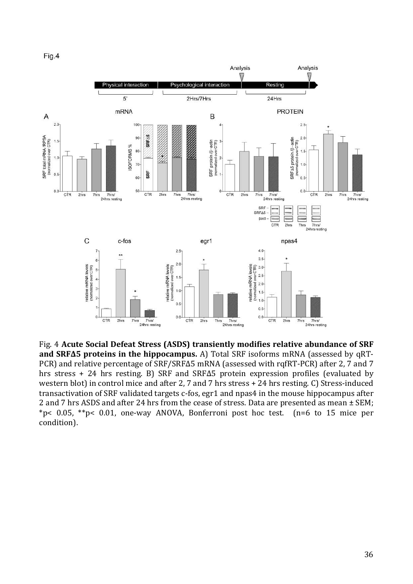Fig.4



Fig. 4 Acute Social Defeat Stress (ASDS) transiently modifies relative abundance of SRF **and SRFΔ5 proteins in the hippocampus.** A) Total SRF isoforms mRNA (assessed by qRT-PCR) and relative percentage of SRF/SRF $\Delta$ 5 mRNA (assessed with rqfRT-PCR) after 2, 7 and 7 hrs stress + 24 hrs resting. B) SRF and SRFΔ5 protein expression profiles (evaluated by western blot) in control mice and after 2, 7 and 7 hrs stress  $+ 24$  hrs resting. C) Stress-induced transactivation of SRF validated targets c-fos, egr1 and npas4 in the mouse hippocampus after 2 and 7 hrs ASDS and after 24 hrs from the cease of stress. Data are presented as mean  $\pm$  SEM; \*p< 0.05, \*\*p< 0.01, one-way ANOVA, Bonferroni post hoc test. (n=6 to 15 mice per condition).